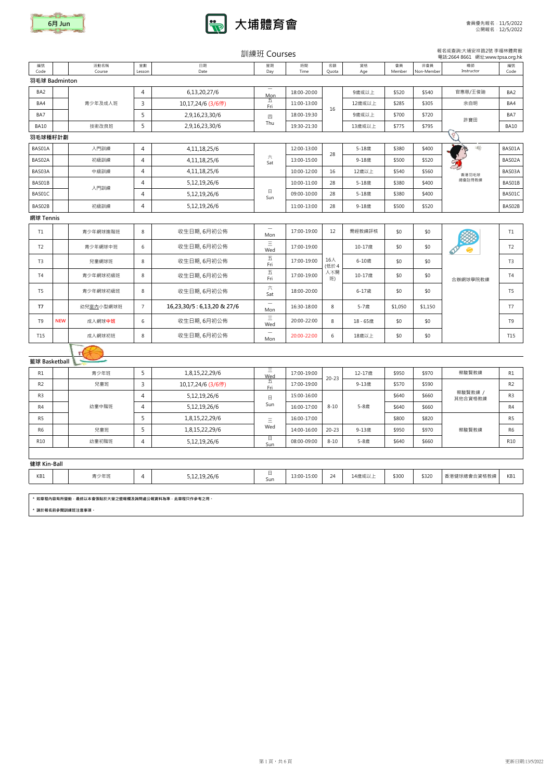|                |            |                                                 |                |                           | 訓練班 Courses                           |             |                     |           |              |                   | 報名或查詢:大埔安祥路2號 李福林體育館<br>電話:2664 8661 網址:www.tpsa.org.hk |                |
|----------------|------------|-------------------------------------------------|----------------|---------------------------|---------------------------------------|-------------|---------------------|-----------|--------------|-------------------|---------------------------------------------------------|----------------|
| 編號<br>Code     |            | 活動名稱<br>Course                                  | 堂數<br>Lesson   | 日期<br>Date                | 星期<br>Day                             | 時間<br>Time  | 名額<br>Quota         | 資格<br>Age | 會員<br>Member | 非會員<br>Non-Member | 導師<br>Instructor                                        | 編號<br>Code     |
| 羽毛球 Badminton  |            |                                                 |                |                           |                                       |             |                     |           |              |                   |                                                         |                |
| BA2            |            |                                                 | 4              | 6,13,20,27/6              | $\overline{\phantom{m}}$<br>Mon       | 18:00-20:00 |                     | 9歳或以上     | \$520        | \$540             | 官惠慈/王俊廸                                                 | BA2            |
| BA4            |            | 青少年及成人班                                         | $\mathsf{3}$   | 10,17,24/6 (3/6停)         | 五<br>Fri                              | 11:00-13:00 |                     | 12歳或以上    | \$285        | \$305             | 余自明                                                     | BA4            |
| BA7            |            |                                                 | 5              | 2,9,16,23,30/6            | 四                                     | 18:00-19:30 | 16                  | 9歳或以上     | \$700        | \$720             |                                                         | BA7            |
| <b>BA10</b>    |            | 技術改良班                                           | 5              | 2,9,16,23,30/6            | Thu                                   | 19:30-21:30 |                     | 13歳或以上    | \$775        | \$795             | 許寶田                                                     | <b>BA10</b>    |
| 羽毛球種籽計劃        |            |                                                 |                |                           |                                       |             |                     |           |              |                   |                                                         |                |
| BAS01A         |            | 入門訓練                                            | 4              | 4, 11, 18, 25/6           |                                       | 12:00-13:00 | 28                  | 5-18歳     | \$380        | \$400             | 看                                                       | BAS01A         |
| BAS02A         |            | 初級訓練                                            | 4              | 4, 11, 18, 25/6           | 六<br>Sat                              | 13:00-15:00 |                     | 9-18歳     | \$500        | \$520             |                                                         | BAS02A         |
| BAS03A         |            | 中級訓練                                            | 4              | 4, 11, 18, 25/6           |                                       | 10:00-12:00 | 16                  | 12歳以上     | \$540        | \$560             | 香港羽毛球                                                   | BAS03A         |
| BAS01B         |            | 入門訓練                                            | 4              | 5,12,19,26/6              |                                       | 10:00-11:00 | 28                  | 5-18歳     | \$380        | \$400             | 總會註冊教練                                                  | BAS01B         |
| BAS01C         |            |                                                 | 4              | 5,12,19,26/6              | $\Box$<br>Sun                         | 09:00-10:00 | 28                  | 5-18歳     | \$380        | \$400             |                                                         | BAS01C         |
| BAS02B         |            | 初級訓練                                            | 4              | 5,12,19,26/6              |                                       | 11:00-13:00 | 28                  | 9-18歳     | \$500        | \$520             |                                                         | BAS02B         |
| 網球 Tennis      |            |                                                 |                |                           |                                       |             |                     |           |              |                   |                                                         |                |
| T1             |            | 青少年網球進階班                                        | 8              | 收生日期, 6月初公佈               | $\overline{\phantom{m}}$<br>Mon       | 17:00-19:00 | 12                  | 需經教練評核    | \$0          | \$0               |                                                         | T1             |
| T <sub>2</sub> |            | 青少年網球中班                                         | 6              | 收生日期, 6月初公佈               | Ξ<br>Wed                              | 17:00-19:00 |                     | 10-17歳    | \$0          | \$0               |                                                         | T <sub>2</sub> |
| T3             |            | 兒童網球班                                           | 8              | 收生日期, 6月初公佈               | $\overline{\mathrm{h}}$<br>Fri        | 17:00-19:00 | $16\lambda$<br>(低於4 | 6-10歳     | \$0          | \$0               |                                                         | T <sub>3</sub> |
| <b>T4</b>      |            | 青少年網球初級班                                        | 8              | 收生日期, 6月初公佈               | $\overline{\mathrm{h}}$<br>Fri        | 17:00-19:00 | 人不開<br>班)           | 10-17歳    | \$0          | \$0               | 合辦網球學院教練                                                | T4             |
| T <sub>5</sub> |            | 青少年網球初級班                                        | 8              | 收生日期, 6月初公佈               | $\overrightarrow{\mathcal{N}}$<br>Sat | 18:00-20:00 |                     | 6-17歳     | \$0<br>\$0   |                   |                                                         | T5             |
| T7             |            | 幼兒室內小型網球班                                       | $\overline{7}$ | 16,23,30/5:6,13,20 & 27/6 | $\overline{\phantom{m}}$<br>Mon       | 16:30-18:00 | 8                   | 5-7歲      | \$1,050      | \$1,150           |                                                         | T7             |
| T9             | <b>NEW</b> | 成人網球中班                                          | 6              | 收生日期, 6月初公佈               | $\equiv$<br>Wed                       | 20:00-22:00 | 8                   | 18 - 65歳  | \$0          | \$0               |                                                         | T9             |
| <b>T15</b>     |            | 成人網球初班                                          | 8              | 收生日期, 6月初公佈               | $\overline{\phantom{0}}$<br>Mon       | 20:00-22:00 | 6                   | 18歳以上     | \$0          | \$0               |                                                         | T15            |
|                |            |                                                 |                |                           |                                       |             |                     |           |              |                   |                                                         |                |
| 籃球 Basketball  |            |                                                 |                |                           |                                       |             |                     |           |              |                   |                                                         |                |
| R1             |            | 青少年班                                            | 5              | 1,8,15,22,29/6            | Ξ<br>Wed                              | 17:00-19:00 | $20 - 23$           | 12-17歳    | \$950        | \$970             | 蔡駿賢教練                                                   | R1             |
| R <sub>2</sub> |            | 兒童班                                             | 3              | 10,17,24/6 (3/6停)         | 五<br>Fri                              | 17:00-19:00 |                     | 9-13歳     | \$570        | \$590             |                                                         | R <sub>2</sub> |
| R <sub>3</sub> |            |                                                 | 4              | 5,12,19,26/6              | $\boxminus$                           | 15:00-16:00 |                     |           | \$640        | \$660             | 蔡駿賢教練 /<br>其他合資格教練                                      | R <sub>3</sub> |
| R4             |            | 幼童中階班                                           | 4              | 5,12,19,26/6              | Sun                                   | 16:00-17:00 | $8 - 10$            | 5-8歳      | \$640        | \$660             |                                                         | R4             |
| R5             |            |                                                 | 5              | 1,8,15,22,29/6            | $\equiv$                              | 16:00-17:00 |                     |           | \$800        | \$820             |                                                         | R <sub>5</sub> |
| R <sub>6</sub> |            | 兒童班                                             | 5              | 1,8,15,22,29/6            | Wed                                   | 14:00-16:00 | $20 - 23$           | 9-13歳     | \$950        | \$970             | 蔡駿賢教練                                                   | R <sub>6</sub> |
| <b>R10</b>     |            | 幼童初階班                                           | 4              | 5,12,19,26/6              | 日<br>Sun                              | 08:00-09:00 | $8 - 10$            | 5-8歳      | \$640        | \$660             |                                                         | <b>R10</b>     |
| 健球 Kin-Ball    |            |                                                 |                |                           |                                       |             |                     |           |              |                   |                                                         |                |
|                |            | 青少年班                                            |                |                           | 日                                     | 13:00-15:00 | 24                  |           | \$300        | \$320             | 香港健球總會合資格教練                                             |                |
| KB1            |            |                                                 | 4              | 5,12,19,26/6              | Sun                                   |             |                     | 14歳或以上    |              |                   |                                                         | KB1            |
|                |            | * 如章程内容有所變動,最終以本會張貼於大堂之壁報欄及詢問處公報資料為準,此章程只作參考之用。 |                |                           |                                       |             |                     |           |              |                   |                                                         |                |

\* 請於報名前參閱訓練班注意事項。



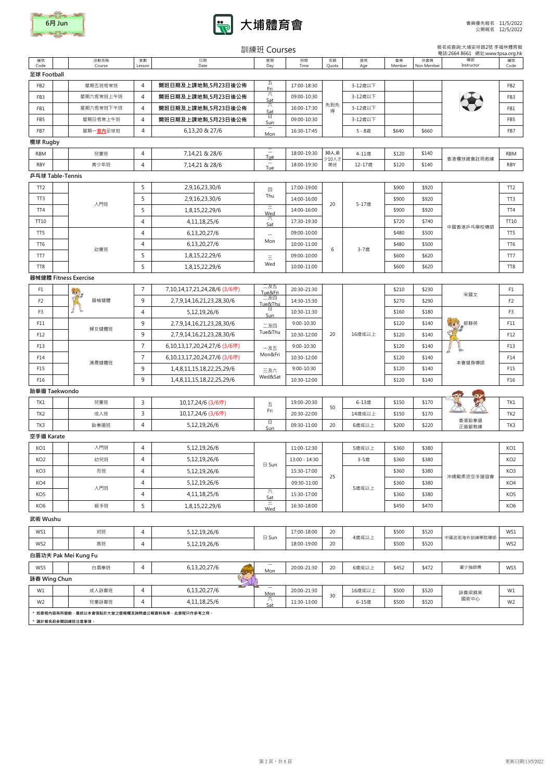|                 |                       |                |                              | 訓練班 Courses                                   |                |                |           |              |                   | 報名或查詢:大埔安祥路2號 李福林體育館<br>電話:2664 8661 網址:www.tpsa.org.hk |                 |
|-----------------|-----------------------|----------------|------------------------------|-----------------------------------------------|----------------|----------------|-----------|--------------|-------------------|---------------------------------------------------------|-----------------|
| 編號<br>Code      | 活動名稱<br>Course        | 堂數<br>Lesson   | 日期<br>Date                   | 星期<br>Day                                     | 時間<br>Time     | 名額<br>Quota    | 資格<br>Age | 會員<br>Member | 非會員<br>Non Member | 導師<br>Instructor                                        | 編號<br>Code      |
| 足球 Football     |                       |                |                              |                                               |                |                |           |              |                   |                                                         |                 |
| FB <sub>2</sub> | 星期五班恆常班               | $\overline{4}$ | 開班日期及上課地點,5月23日後公佈           | 五<br>Fri                                      | 17:00-18:30    |                | 3-12歳以下   |              |                   |                                                         | FB <sub>2</sub> |
| FB <sub>3</sub> | 星期六恆常班上午班             | $\overline{4}$ | 開班日期及上課地點,5月23日後公佈           | 六<br>Sat                                      | 09:00-10:30    |                | 3-12歳以下   |              |                   |                                                         | FB <sub>3</sub> |
| FB1             | 星期六恆常班下午班             | 4              | 開班日期及上課地點,5月23日後公佈           | 六<br>Sat                                      | 16:00-17:30    | 先到先<br>得       | 3-12歲以下   |              |                   |                                                         | FB1             |
| FB5             | 星期日恆常上午班              | $\overline{4}$ | 開班日期及上課地點,5月23日後公佈           | Ŧ<br>Sun                                      | 09:00-10:30    |                | 3-12歲以下   |              |                   |                                                         | FB5             |
| FB7             | 星期一室内足球班              | $\overline{4}$ | 6,13,20 & 27/6               | Mon                                           | 16:30-17:45    |                | 5-8歳      | \$640        | \$660             |                                                         | FB7             |
| 欖球 Rugby        |                       |                |                              |                                               |                |                |           |              |                   |                                                         |                 |
| <b>RBM</b>      | 兒童班                   | $\overline{4}$ | 7,14,21 & 28/6               | $\overline{\phantom{m}}$<br>Tue               | 18:00-19:30    | 30人,最<br>少10人才 | 4-11歳     | \$120        | \$140             | 香港欖球總會註冊教練                                              | <b>RBM</b>      |
| <b>RBY</b>      | 青少年班                  | $\overline{4}$ | 7,14,21 & 28/6               | $\hspace{0.1mm}-\hspace{0.1mm}$<br>Tue        | 18:00-19:30    | 開班             | 12-17歳    | \$120        | \$140             |                                                         | RBY             |
|                 | 乒乓球 Table-Tennis      |                |                              |                                               |                |                |           |              |                   |                                                         |                 |
| TT <sub>2</sub> |                       | 5              | 2,9,16,23,30/6               | 四                                             | 17:00-19:00    |                |           | \$900        | \$920             |                                                         | TT <sub>2</sub> |
| TT3             | 入門班                   | 5              | 2,9,16,23,30/6               | Thu                                           | 14:00-16:00    | 20             | 5-17歳     | \$900        | \$920             |                                                         | TT <sub>3</sub> |
| TT4             |                       | 5              | 1,8,15,22,29/6               | 目<br>Wed                                      | 14:00-16:00    |                |           | \$900        | \$920             |                                                         | TT4             |
| TT10            |                       | 4              | 4,11,18,25/6                 | 六<br>Sat                                      | 17:30-19:30    |                |           | \$720        | \$740             | 中國香港乒乓學校導師                                              | TT10            |
| TT5             |                       | 4              | 6,13,20,27/6                 | $\overline{\phantom{m}}$                      | 09:00-10:00    |                |           | \$480        | \$500             |                                                         | TT5             |
| TT6             | 幼童班                   | 4              | 6,13,20,27/6                 | Mon                                           | 10:00-11:00    | 6              | 3-7歳      | \$480        | \$500             |                                                         | TT6             |
| TT7             |                       | 5              | 1,8,15,22,29/6               | $\equiv$                                      | 09:00-10:00    |                |           | \$600        | \$620             |                                                         | TT7             |
| TT8             |                       | 5              | 1,8,15,22,29/6               | Wed                                           | 10:00-11:00    |                |           | \$600        | \$620             |                                                         | TT8             |
|                 | 器械健體 Fitness Exercise |                |                              |                                               |                |                |           |              |                   |                                                         |                 |
| F1              | tre                   | $\overline{7}$ | 7,10,14,17,21,24,28/6 (3/6停) | 二及五<br>Tue&Fri                                | 20:30-21:30    |                |           | \$210        | \$230             | 宋國文                                                     | F1              |
| F <sub>2</sub>  | 器械健體                  | 9              | 2,7,9,14,16,21,23,28,30/6    | 二及四<br>Tue&Thu                                | 14:30-15:30    |                |           | \$270        | \$290             |                                                         | F2              |
| F <sub>3</sub>  |                       | 4              | 5,12,19,26/6                 | 日<br>Sun                                      | 10:30-11:30    |                |           | \$160        | \$180             | 行那英<br>本會健身導師                                           | F <sub>3</sub>  |
| F11             | 婦女健體班                 | 9              | 2,7,9,14,16,21,23,28,30/6    | 二及四                                           | $9:00 - 10:30$ |                |           | \$120        | \$140             |                                                         | F11             |
| F12             |                       | 9              | 2,7,9,14,16,21,23,28,30/6    | Tue&Thu                                       | 10:30-12:00    | 20             | 16歳或以上    | \$120        | \$140             |                                                         | F12             |
| F13             |                       | $\overline{7}$ | 6,10,13,17,20,24,27/6 (3/6停) | 一及五                                           | 9:00-10:30     |                |           | \$120        | \$140             |                                                         | F13             |
| F14             | 清晨健體班                 | $\overline{7}$ | 6,10,13,17,20,24,27/6 (3/6停) | Mon&Fri                                       | 10:30-12:00    |                |           | \$120        | \$140             |                                                         | F14             |
| F15             |                       | 9              | 1,4,8,11,15,18,22,25,29/6    | 三及六                                           | 9:00-10:30     |                |           | \$120        | \$140             |                                                         | F15             |
| F16             |                       | 9              | 1,4,8,11,15,18,22,25,29/6    | Wed&Sat                                       | 10:30-12:00    |                |           | \$120        | \$140             |                                                         | F16             |
|                 | 跆拳道 Taekwondo         |                |                              |                                               |                |                |           |              |                   | $\lambda$                                               |                 |
| TK1             | 兒童班                   | $\mathsf{3}$   | 10,17,24/6 (3/6停)            | $\overline{\mathrm{h}}$                       | 19:00-20:30    | 50             | 6-13歳     | \$150        | \$170             |                                                         | TK1             |
| TK <sub>2</sub> | 成人班                   | 3              | 10,17,24/6 (3/6停)            | Fri                                           | 20:30-22:00    |                | 14歳或以上    | \$150        | \$170             | 香港跆拳道                                                   | TK2             |
| TK3             | 跆拳道班                  | 4              | 5,12,19,26/6                 | $\begin{array}{c} \square \end{array}$<br>Sun | 09:30-11:00    | 20             | 6歳或以上     | \$200        | \$220             | 正道舘教練                                                   | TK3             |
| 空手道 Karate      |                       |                |                              |                                               |                |                |           |              |                   |                                                         |                 |
| KO1             | 入門班                   | $\overline{4}$ | 5,12,19,26/6                 |                                               | 11:00-12:30    |                | 5歲或以上     | \$360        | \$380             |                                                         | KO1             |
| KO <sub>2</sub> | 幼兒班                   | 4              | 5,12,19,26/6                 | 日 Sun                                         | 13:00 - 14:30  |                | 3-5歳      | \$360        | \$380             |                                                         | KO <sub>2</sub> |
| KO3             | 形班                    | 4              | 5,12,19,26/6                 |                                               | 15:30-17:00    | 25             |           | \$360        | \$380             | 沖繩剛柔流空手道協會                                              | KO3             |
| KO4             | 入門班                   | $\overline{4}$ | 5,12,19,26/6                 |                                               | 09:30-11:00    |                | 5歲或以上     | \$360        | \$380             |                                                         | KO4             |
| KO <sub>5</sub> |                       | 4              | 4, 11, 18, 25/6              | 六<br>Sat                                      | 15:30-17:00    |                |           | \$360        | \$380             |                                                         | KO <sub>5</sub> |
| KO <sub>6</sub> | 組手班                   | 5              | 1,8,15,22,29/6               | Ξ<br>Wed                                      | 16:30-18:00    |                |           | \$450        | \$470             |                                                         | KO6             |
| 武術 Wushu        |                       |                |                              |                                               |                |                |           |              |                   |                                                         |                 |
| WS1             | 初班                    | $\overline{4}$ | 5,12,19,26/6                 |                                               | 17:00-18:00    | 20             |           | \$500        | \$520             |                                                         | WS1             |
| WS2             | 高班                    | $\overline{4}$ | 5,12,19,26/6                 | 日 Sun                                         | 18:00-19:00    | 20             | 4歳或以上     | \$500        | \$520             | 中國武術海外訓練學院導師                                            | WS2             |
|                 | 白眉功夫 Pak Mei Kung Fu  |                |                              |                                               |                |                |           |              |                   |                                                         |                 |
| WS5             | 白眉拳班                  | $\overline{4}$ | 6,13,20,27/6                 | $\overline{\phantom{m}}$                      | 20:00-21:30    | 20             | 6歳或以上     | \$452        | \$472             | 嚴少強師傅                                                   | WS5             |
|                 |                       |                |                              | Mon                                           |                |                |           |              |                   |                                                         |                 |

 $\mathsf{r}$ 



詠春 Wing Chun

| W1             |                                                 | 成人詠春班 | $\overline{ }$ | --<br>6,13,20,27/6 | $\overline{\phantom{a}}$<br>Mon | 20:00-21:30 | 30 | 16歲或以上 | \$500 | \$520 | 詠春梁錦棠 | W1             |  |
|----------------|-------------------------------------------------|-------|----------------|--------------------|---------------------------------|-------------|----|--------|-------|-------|-------|----------------|--|
| W <sub>2</sub> |                                                 | 兒童詠春班 | $\prime$ 1     | 4, 11, 18, 25/6    | Sat                             | 11:30-13:00 |    | 6-15歳  | \$500 | \$520 | 國術中心  | W <sub>2</sub> |  |
|                | * 如章程内容有所變動,最終以本會張貼於大堂之壁報欄及詢問處公報資料為準,此章程只作參考之用。 |       |                |                    |                                 |             |    |        |       |       |       |                |  |
|                | * 請於報名前參閱訓練班注意事項。                               |       |                |                    |                                 |             |    |        |       |       |       |                |  |

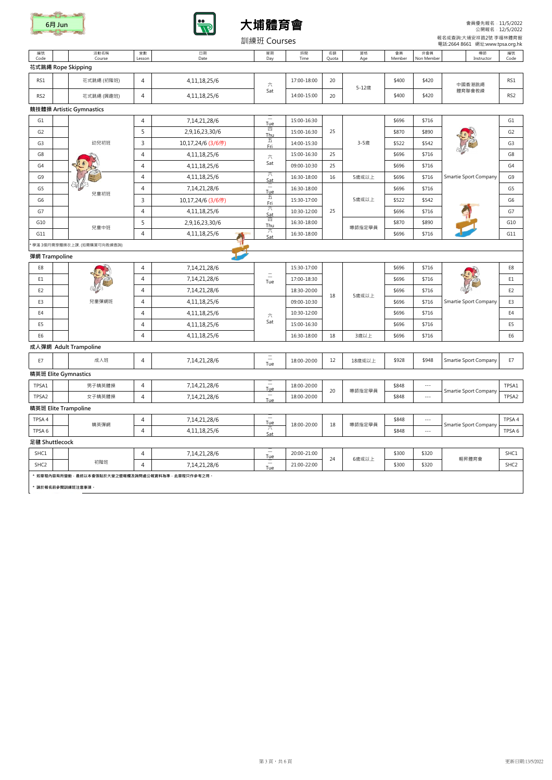編號

# Code

堂數 Lesso

活動名稱 Course





日期 Date

會員 Membe 非會員 n Me

星期 Day

時間 Time

名額 Quota 資格 Age

導師 Instructor 編號 Code

### 彈網 Trampoline

#### G1  $\begin{array}{|c|c|c|c|c|}\n\hline\n & 4 & 7,14,21,28/6 & \text{True} \\
\hline\n\end{array}$  $T_{\text{Uee}}$  15:00-16:30 G1 G2 5 2,9,16,23,30/6 PM  $T_{\text{thu}}$  15:00-16:30 25 \$870 \$890 \$890  $\sqrt{3}$ G3 <sup>3</sup> 10,17,24/6 (3/6停) <sup>五</sup>  $\frac{11}{11}$  | 14:00-15:30 | 3-5歳 | \$522 | \$542 |  $\sqrt{11}$  | G3 G8 4 4,11,18,25/6 15:00-16:30 25 \$696 \$716 G8 G4 4 4,11,18,25/6 09:00-10:30 25 \$696 \$716 G4 G9 4 4,11,18,25/6  $\frac{1}{\sqrt{5}}$ Sat 16:30-18:00 <sup>16</sup> 5歲或以上 \$696 \$716 G9 Smartie Sport Company G5 <sup>4</sup> 7,14,21,28/6 <sup>二</sup>  $T_{\text{Ue}}$  16:30-18:00  $\overline{\phantom{0}}$  5696 \$716  $\overline{\phantom{0}}$  55  $\begin{array}{|c|c|c|c|c|}\n\hline\n\text{G6} & & \text{J6} & \text{J6} & \text{J6} \\
\hline\n\end{array}$ 一 5嬴或以上 \$522 \$542 G6<br>Fri G7 4 4,11,18,25/6  $\frac{2}{\pi}$  $\begin{array}{|c|c|c|c|c|c|}\n\hline\n\text{Sat} & 10:30-12:00 & 25 & \text{300} & \text{300} & \text{400} & \text{500} & \text{500} & \text{500} & \text{500} & \text{500} & \text{500} & \text{500} & \text{500} & \text{500} & \text{500} & \text{500} & \text{500} & \text{500} & \text{500} & \text{500} & \text{500} & \text{500} & \text{500} & \text{50$ G10 <sup>5</sup> 2,9,16,23,30/6 <sup>四</sup>  $\frac{1}{10}$  16:30-18:00  $\frac{1}{10}$  \$870 \$890  $\frac{1}{10}$  G10 G11  $\pi$   $\frac{1}{4}$  4,11,18,25/6  $\frac{1}{5}$  5at  $\begin{array}{|c|c|c|c|c|c|}\n\hline\n\text{Sat} & 16:30-18:00 & & & \text{ $5696 & $716 & & \text{ $611$} \ \hline\n\end{array}$ \* 學滿 3個月需穿體操衣上課. (如需購買可向教練查詢) 導師指定學員 兒童中班 25 5歲或以上 兒童初班 3-5歲 幼兒初班 六 Sat 25

|                 | 花式跳繩 Rope Skipping       |            |   |                 |     |             |    |       |       |       |        |                 |  |  |
|-----------------|--------------------------|------------|---|-----------------|-----|-------------|----|-------|-------|-------|--------|-----------------|--|--|
| RS1             |                          | 花式跳繩 (初階班) | 4 | 4,11,18,25/6    | 六   | 17:00-18:00 | 20 | 5-12歳 | \$400 | \$420 | 中國香港跳繩 | RS1             |  |  |
| RS <sub>2</sub> |                          | 花式跳繩 (興趣班) | 4 | 4, 11, 18, 25/6 | Sat | 14:00-15:00 | 20 |       | \$400 | \$420 | 體育聯會教練 | RS <sub>2</sub> |  |  |
|                 | 競技體操 Artistic Gymnastics |            |   |                 |     |             |    |       |       |       |        |                 |  |  |

| E8                |                       | $\overline{4}$ | 7, 14, 21, 28/6 |                                                      | 15:30-17:00 |    |        | \$696 | \$716               |                       | E8               |
|-------------------|-----------------------|----------------|-----------------|------------------------------------------------------|-------------|----|--------|-------|---------------------|-----------------------|------------------|
| E1                | E                     | 4              | 7, 14, 21, 28/6 | $\qquad \qquad -$<br>$\overline{\phantom{m}}$<br>Tue | 17:00-18:30 |    |        | \$696 | \$716               | Le Re                 | E <sub>1</sub>   |
| E <sub>2</sub>    |                       | 4              | 7, 14, 21, 28/6 |                                                      | 18:30-20:00 | 18 | 5歳或以上  | \$696 | \$716               | Smartie Sport Company | E <sub>2</sub>   |
| E <sub>3</sub>    | 兒童彈網班                 | 4              | 4, 11, 18, 25/6 |                                                      | 09:00-10:30 |    |        | \$696 | \$716               |                       | E3               |
| E4                |                       | 4              | 4, 11, 18, 25/6 | $\overline{\nearrow}$                                | 10:30-12:00 |    |        | \$696 | \$716               |                       | E4               |
| E <sub>5</sub>    |                       | $\overline{4}$ | 4, 11, 18, 25/6 | Sat                                                  | 15:00-16:30 |    |        | \$696 | \$716               |                       | E <sub>5</sub>   |
| E <sub>6</sub>    |                       | $\overline{4}$ | 4, 11, 18, 25/6 |                                                      | 16:30-18:00 | 18 | 3歳以上   | \$696 | \$716               |                       | E <sub>6</sub>   |
|                   | 成人彈網 Adult Trampoline |                |                 |                                                      |             |    |        |       |                     |                       |                  |
| E7                | 成人班                   | $\overline{4}$ | 7,14,21,28/6    | $\qquad \qquad -$<br>$\overline{\phantom{m}}$<br>Tue | 18:00-20:00 | 12 | 18歳或以上 | \$928 | \$948               | Smartie Sport Company | E7               |
|                   | 精英班 Elite Gymnastics  |                |                 |                                                      |             |    |        |       |                     |                       |                  |
| TPSA1             | 男子精英體操                | $\overline{4}$ | 7,14,21,28/6    | $\longrightarrow$<br>Tue                             | 18:00-20:00 | 20 | 導師指定學員 | \$848 | $\frac{1}{2}$       | Smartie Sport Company | TPSA1            |
| TPSA2             | 女子精英體操                | $\overline{4}$ | 7,14,21,28/6    | $\overline{\phantom{m}}$<br>Tue                      | 18:00-20:00 |    |        | \$848 | $\cdots$            |                       | TPSA2            |
|                   | 精英班 Elite Trampoline  |                |                 |                                                      |             |    |        |       |                     |                       |                  |
| TPSA4             | 精英彈網                  | $\overline{4}$ | 7,14,21,28/6    | $\overline{\phantom{m}}$<br>$\frac{True}{\sqrt{2}}$  | 18:00-20:00 | 18 | 導師指定學員 | \$848 | $\qquad \qquad - -$ | Smartie Sport Company | TPSA4            |
| TPSA <sub>6</sub> |                       | 4              | 4, 11, 18, 25/6 | Sat                                                  |             |    |        | \$848 | $\cdots$            |                       | TPSA 6           |
| 足毽 Shuttlecock    |                       |                |                 |                                                      |             |    |        |       |                     |                       |                  |
| SHC1              |                       | $\overline{4}$ | 7, 14, 21, 28/6 | $\longrightarrow$<br>Tue                             | 20:00-21:00 | 24 | 6歲或以上  | \$300 | \$320               | 翱昇體育會                 | SHC1             |
| SHC <sub>2</sub>  | 初階班                   | 4              | 7, 14, 21, 28/6 | $\overline{\phantom{m}}$<br>Tue                      | 21:00-22:00 |    |        | \$300 | \$320               |                       | SHC <sub>2</sub> |
|                   |                       |                |                 |                                                      |             |    |        |       |                     |                       |                  |

\* 如章程內容有所變動,最終以本會張貼於大堂之壁報欄及詢問處公報資料為準,此章程只作參考之用。

\* 請於報名前參閱訓練班注意事項。



會員優先報名﹕11/5/2022 公開報名﹕12/5/2022

 報名或查詢:大埔安祥路2號 李福林體育館 電話:2664 8661 網址:www.tpsa.org.hk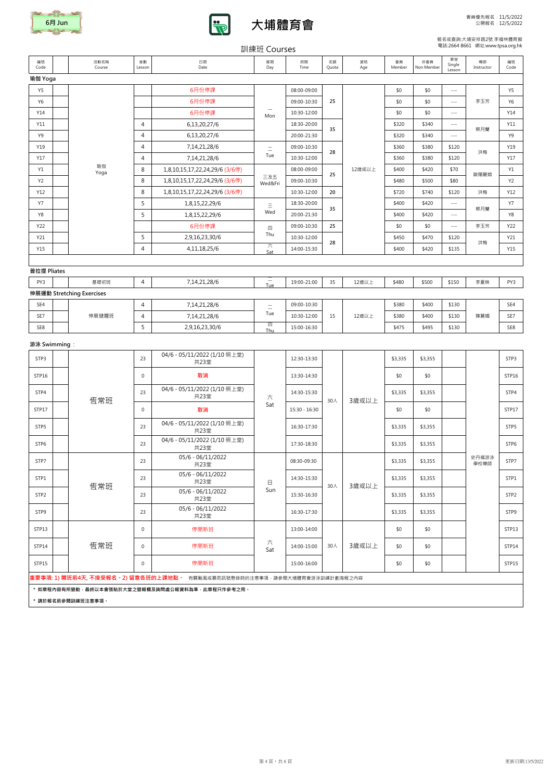如草桯内容有所變動,最終以本會張貼於大室之壁報欄及詢問處公報資料為準,此草桯只作參考之**用。** 

STP6  $\begin{array}{|c|c|c|c|c|}\n\hline\n&3&\n\end{array}$  04/6 - 05/11/2022 (1/10 照上堂)<br>  $\#23\ddot{\Xi}$ 

STP7  $\begin{array}{|c|c|c|c|c|}\n\hline\n&3&23&\mline\n&423&\mline\n\end{array}$ 

STP1  $\begin{array}{|c|c|c|c|c|}\n\hline\n\text{STP1} & \text{STP2} & \text{STP3} & \text{S-06/11/2022} \\
\hline\n\text{STP1} & \text{S-06/11/2022} & \text{S-06/11/2022}\n\hline\n\end{array}$ 

STP2  $\begin{array}{|c|c|c|c|c|}\n\hline\n\text{STP2} & \text{STP2} & 23 & 05/6 & -06/11/2022 \\
\hline\n\end{array}$ 

STP9 3 05/6 - 06/11/2022 5TP9

|                |                           |                |                                      | $H/TN N \rightarrow \bot$ $\cup$ $\cup$ $\cup$ $\cup$ |               |             |           |              |                   |                        |                  |                  |
|----------------|---------------------------|----------------|--------------------------------------|-------------------------------------------------------|---------------|-------------|-----------|--------------|-------------------|------------------------|------------------|------------------|
| 編號<br>Code     | 活動名稱<br>Course            | 堂數<br>Lesson   | 日期<br>Date                           | 星期<br>Day                                             | 時間<br>Time    | 名額<br>Quota | 資格<br>Age | 會員<br>Member | 非會員<br>Non Member | 單堂<br>Single<br>Lesson | 導師<br>Instructor | 編號<br>Code       |
| 瑜伽 Yoga        |                           |                |                                      |                                                       |               |             |           |              |                   |                        |                  |                  |
| Y5             |                           |                | 6月份停課                                |                                                       | 08:00-09:00   |             |           | \$0          | \$0               | $\sim$ $\sim$ $\sim$   |                  | <b>Y5</b>        |
| <b>Y6</b>      |                           |                | 6月份停課                                |                                                       | 09:00-10:30   | 25          |           | \$0          | \$0               | $\scriptstyle - - -$   | 李玉芳              | Y6               |
| Y14            |                           |                | 6月份停課                                | Mon                                                   | 10:30-12:00   |             |           | \$0          | \$0               | $--\,$                 |                  | Y14              |
| Y11            |                           | $\overline{4}$ | 6,13,20,27/6                         |                                                       | 18:30-20:00   | 35          |           | \$320        | \$340             | $\scriptstyle - - -$   | 蔡月蘭              | Y11              |
| Y9             |                           | $\overline{4}$ | 6,13,20,27/6                         |                                                       | 20:00-21:30   |             |           | \$320        | \$340             | $\scriptstyle - - -$   |                  | Y9               |
| Y19            |                           | $\overline{4}$ | 7, 14, 21, 28/6                      | $\equiv$                                              | 09:00-10:30   | 28          |           | \$360        | \$380             | \$120                  | 洪梅               | Y19              |
| Y17            |                           | 4              | 7,14,21,28/6                         | Tue                                                   | 10:30-12:00   |             |           | \$360        | \$380             | \$120                  |                  | Y17              |
| Y1             | 瑜伽<br>Yoga                | 8              | 1,8,10,15,17,22,24,29/6 (3/6停)       |                                                       | 08:00-09:00   |             | 12歳或以上    | \$400        | \$420             | \$70                   |                  | Y1               |
| Y <sub>2</sub> |                           | 8              | 1,8,10,15,17,22,24,29/6 (3/6停)       | 三及五<br>Wed&Fri                                        | 09:00-10:30   | 25          |           | \$480        | \$500             | \$80                   | 歐陽麗娟             | <b>Y2</b>        |
| Y12            |                           | 8              | 1,8,10,15,17,22,24,29/6 (3/6停)       |                                                       | 10:30-12:00   | 20          |           | \$720        | \$740             | \$120                  | 洪梅               | Y12              |
| <b>Y7</b>      |                           | 5              | 1,8,15,22,29/6                       | $\equiv$                                              | 18:30-20:00   |             |           | \$400        | \$420             | $\scriptstyle - - -$   |                  | <b>Y7</b>        |
| Y8             |                           | 5              | 1,8,15,22,29/6                       | Wed                                                   | 20:00-21:30   | 35          |           | \$400        | \$420             | $\sim$ $\sim$          | 蔡月蘭              | Y8               |
| Y22            |                           |                | 6月份停課                                | 四                                                     | 09:00-10:30   | 25          |           | \$0          | \$0               | $\scriptstyle - - -$   | 李玉芳              | Y22              |
| Y21            |                           | 5              | 2,9,16,23,30/6                       | Thu<br>六<br>Sat                                       | 10:30-12:00   |             |           | \$450        | \$470             | \$120                  | 洪梅               | Y21              |
| Y15            |                           | $\overline{4}$ | 4, 11, 18, 25/6                      |                                                       | 14:00-15:30   | 28          |           | \$400        | \$420             | \$135                  |                  | Y15              |
|                |                           |                |                                      |                                                       |               |             |           |              |                   |                        |                  |                  |
| 普拉提 Pliates    |                           |                |                                      |                                                       |               |             |           |              |                   |                        |                  |                  |
| PY3            | 基礎初班                      | $\overline{4}$ | 7,14,21,28/6                         | $\frac{-}{\text{True}}$                               | 19:00-21:00   | 35          | 12歳以上     | \$480        | \$500             | \$150                  | 李夏妹              | PY3              |
|                | 伸展運動 Stretching Exercises |                |                                      |                                                       |               |             |           |              |                   |                        |                  |                  |
| SE4            |                           | 4              | 7,14,21,28/6                         | $\equiv$                                              | 09:00-10:30   |             |           | \$380        | \$400             | \$130                  |                  | SE4              |
| SE7            | 伸展健體班                     | $\overline{4}$ | 7,14,21,28/6                         | Tue                                                   | 10:30-12:00   | 15          | 12歳以上     | \$380        | \$400             | \$130                  | 陳麗媚              | SE7              |
| SE8            |                           | 5              | 2,9,16,23,30/6                       | 四<br>Thu                                              | 15:00-16:30   |             |           | \$475        | \$495             | \$130                  |                  | SE8              |
| 游泳 Swimming:   |                           |                |                                      |                                                       |               |             |           |              |                   |                        |                  |                  |
| STP3           |                           | 23             | 04/6 - 05/11/2022 (1/10 照上堂)<br>共23堂 |                                                       | 12:30-13:30   |             |           | \$3,335      | \$3,355           |                        |                  | STP <sub>3</sub> |
| STP16          |                           | $\mathbf 0$    | 取消                                   |                                                       | 13:30-14:30   |             |           | \$0          | \$0               |                        |                  | STP16            |
| STP4           | 恆常班                       | 23             | 04/6 - 05/11/2022 (1/10照上堂)<br>共23堂  | 六                                                     | 14:30-15:30   | 30人         |           | \$3,335      | \$3,355           |                        |                  | STP4             |
| STP17          |                           | $\mathbf 0$    | 取消                                   | Sat                                                   | 15:30 - 16:30 |             | 3歳或以上     | \$0          | \$0               |                        |                  | STP17            |
| STP5           |                           | 23             | 04/6 - 05/11/2022 (1/10 照上堂)<br>共23堂 |                                                       | 16:30-17:30   |             |           | \$3,335      | \$3,355           |                        |                  | STP5             |

共23堂 17:30-18:30 \$3,335 \$3,355 STP6

共23堂 08:30-09:30 \$3,335 \$3,355 STP7

共23堂 14:30-15:30 \$3,335 \$3,355 STP1

共23堂 15:30-16:30 \$3,335 \$3,355 STP2

共23堂 16:30-17:30 \$3,335 \$3,355 STP9

STP13 0 停開新班 13:00-14:00 \$0 \$0 STP13

\* 請於報名前參閱訓練班注意事項。

#### 報名或查詢:大埔安祥路2號 李福林體育館 電話:2664 8661 網址:www.tpsa.org.hk

史丹福游泳 學校導師

30人

3歲或以上

日 Sun

STP14 | | '尥 常 壮 | 0 | 停開新班 | 、、、 | 14:00-15:00 | 30人 | 3歲或以上 | \$0 | \$0 | | | STP14

30人

恆常班

六

恆常班

## 訓練班 Courses

3歲或以上





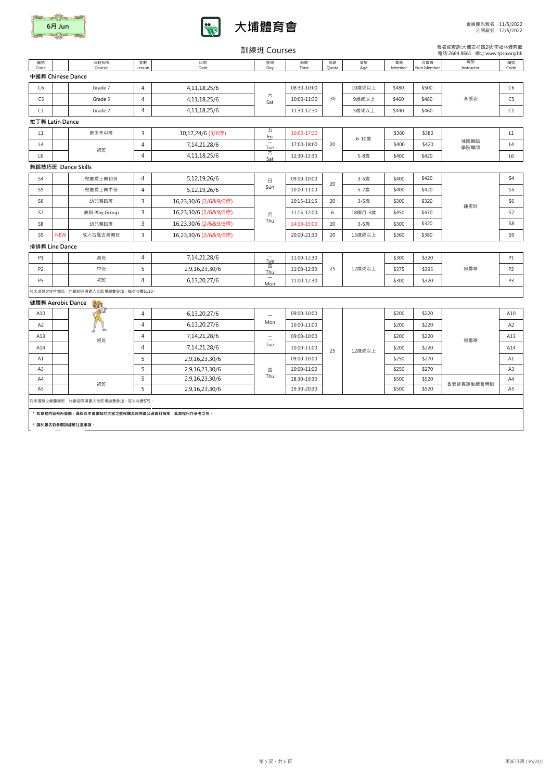|                |                                     |                |                       |                                 |             |                              |           |                |                   | 電話:2664 8661 網址:www.tpsa.org.hk |                |
|----------------|-------------------------------------|----------------|-----------------------|---------------------------------|-------------|------------------------------|-----------|----------------|-------------------|---------------------------------|----------------|
| 編號<br>Code     | 活動名稱<br>Course                      | 堂數<br>Lesson   | 日期<br>Date            | 星期<br>Day                       | 時間<br>Time  | 名額<br>Quota                  | 資格<br>Age | 會員<br>Member   | 非會員<br>Non Member | 導師<br>Instructor                | 編號<br>Code     |
|                | 中國舞 Chinese Dance                   |                |                       |                                 |             |                              |           |                |                   |                                 |                |
| C <sub>6</sub> | Grade 7                             | 4              | 4, 11, 18, 25/6       |                                 | 08:30-10:00 |                              | 10歳或以上    | \$480          | \$500             |                                 | C <sub>6</sub> |
| C <sub>5</sub> | Grade 5                             | $\overline{4}$ | 4,11,18,25/6          | 六<br>Sat                        | 10:00-11:30 | 30                           | 9歳或以上     | \$460          | \$480             | 李凝姿                             | C <sub>5</sub> |
| C1             | Grade 2                             | $\overline{4}$ | 4, 11, 18, 25/6       |                                 | 11:30-12:30 |                              | 5歳或以上     | \$440          | \$460             |                                 | C1             |
|                | 拉丁舞 Latin Dance                     |                |                       |                                 |             |                              |           |                |                   |                                 |                |
| L1             | 青少年中班                               | 3              | 10,17,24/6 (3/6停)     | 五<br>Fri                        | 16:00-17:30 |                              |           | \$360          | \$380             |                                 | L1             |
| L4             |                                     | 4              | 7, 14, 21, 28/6       | $\overline{\phantom{m}}$<br>Tue | 17:00-18:00 | 20                           | 6-10歳     | \$400          | \$420             | 飛躍舞蹈<br>學院導師                    | L4             |
| L6             | 初班                                  | $\overline{4}$ | 4, 11, 18, 25/6       | 六<br>Sat                        | 12:30-13:30 |                              | 5-8歲      | \$400          | \$420             |                                 | L6             |
|                | 舞蹈技巧班 Dance Skills                  |                |                       |                                 |             |                              |           |                |                   |                                 |                |
| S4             | 兒童爵士舞初班                             | 4              | 5,12,19,26/6          | $\boxminus$                     | 09:00-10:00 |                              | 3-5歳      | \$400          | \$420             |                                 | S4             |
| S5             | 兒童爵士舞中班                             | $\overline{4}$ | 5,12,19,26/6          | Sun                             | 10:00-11:00 | 20                           | 5-7歳      | \$400          | \$420             |                                 | S5             |
| S <sub>6</sub> | 幼兒舞蹈班                               | $\mathsf{3}$   | 16,23,30/6 (2/6&9/6停) |                                 | 10:15-11:15 | \$320<br>20<br>3-5歲<br>\$300 |           | S <sub>6</sub> |                   |                                 |                |
| S7             | 舞蹈 Play Group                       | $\mathsf 3$    | 16,23,30/6 (2/6&9/6停) | 四                               | 11:15-12:00 | 6                            | 18個月-3歲   | \$450          | \$470             | 鍾家欣                             | S7             |
| S8             | 幼兒舞蹈班                               | $\mathsf{3}$   | 16,23,30/6 (2/6&9/6停) | Thu                             | 14:00-15:00 | 20                           | 3-5歳      | \$300          | \$320             |                                 | S8             |
| S9             | <b>NEW</b><br>成人古風古典舞班              | 3              | 16,23,30/6 (2/6&9/6停) |                                 | 20:00-21:30 | 20                           | 15歳或以上    | \$360          | \$380             |                                 | S9             |
|                | 排排舞 Line Dance                      |                |                       |                                 |             |                              |           |                |                   |                                 |                |
| P1             | 高班                                  | 4              | 7, 14, 21, 28/6       | $\qquad \qquad -$<br>Tue        | 11:00-12:30 |                              |           | \$300          | \$320             |                                 | P1             |
| P <sub>2</sub> | 中班                                  | 5              | 2,9,16,23,30/6        | 四<br>Thu                        | 11:00-12:30 | 25                           | 12歳或以上    | \$375          | \$395             | 何雪華                             | P <sub>2</sub> |
| P <sub>3</sub> | 初班                                  | $\overline{4}$ | 6,13,20,27/6          | $\overline{\phantom{a}}$<br>Mon | 11:00-12:30 |                              |           | \$300          | \$320             |                                 | P <sub>3</sub> |
|                | 凡未滿額之排排舞班·均歡迎有興趣人仕即場繳費參加·每次收費\$110· |                |                       |                                 |             |                              |           |                |                   |                                 |                |
|                | 健體舞 Aerobic Dance<br>to             |                |                       |                                 |             |                              |           |                |                   |                                 |                |
| A10            |                                     | $\overline{4}$ | 6,13,20,27/6          | $\overline{\phantom{0}}$        | 09:00-10:00 |                              |           | \$200          | \$220             |                                 | A10            |
| A <sub>2</sub> |                                     | 4              | 6,13,20,27/6          | Mon                             | 10:00-11:00 |                              |           | \$200          | \$220             |                                 | A2             |
| A13            |                                     | 4              | 7, 14, 21, 28/6       | $\equiv$                        | 09:00-10:00 |                              |           | \$200          | \$220             |                                 | A13            |
| A14            | 初班                                  | 4              | 7,14,21,28/6          | Tue                             | 10:00-11:00 | 25                           | 12歳或以上    | \$200          | \$220             | 何雪華                             | A14            |
| A1             |                                     | 5              | 2,9,16,23,30/6        |                                 | 09:00-10:00 |                              |           | \$250          | \$270             |                                 | A1             |
| A3             |                                     | 5              | 2,9,16,23,30/6        | 四                               | 10:00-11:00 |                              |           | \$250          | \$270             |                                 | A3             |
| A4             | 初班                                  | 5              | 2,9,16,23,30/6        | Thu                             | 18:30-19:30 |                              |           | \$500          | \$520             |                                 | A4             |
| A5             |                                     | 5              | 2,9,16,23,30/6        |                                 | 19:30-20:30 |                              |           | \$500          | \$520             | 香港排舞運動總會導師                      | A5             |

\* 請於報名前參閱訓練班注意事項。

報名或查詢:大埔安祥路2號 李福林體育館

## 訓練班 Courses